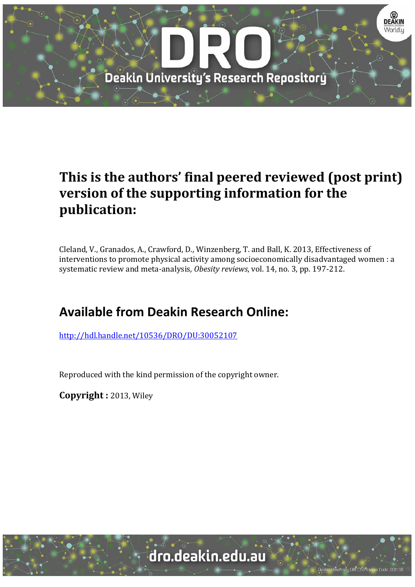

# **This is the authors' final peered reviewed (post print) version of the supporting information for the publication:**

Cleland, V., Granados, A., Crawford, D., Winzenberg, T. and Ball, K. 2013, Effectiveness of interventions to promote physical activity among socioeconomically disadvantaged women : a systematic review and meta-analysis, *Obesity reviews*, vol. 14, no. 3, pp. 197-212.

# **Available from Deakin Research Online:**

http://hdl.handle.net/10536/DRO/DU:30052107

Reproduced with the kind permission of the copyright owner.

**Copyright :** 2013, Wiley 

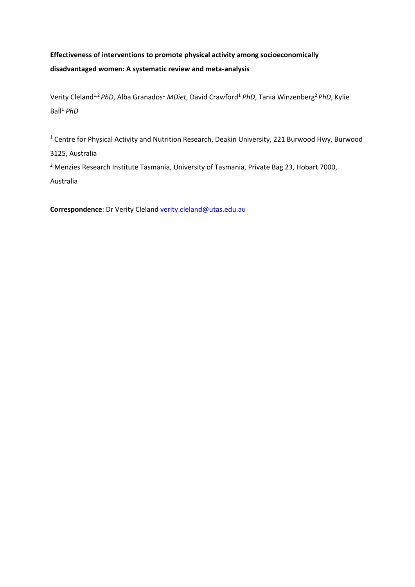# **Effectiveness of interventions to promote physical activity among socioeconomically disadvantaged women: A systematic review and meta‐analysis**

Verity Cleland1,2 *PhD*, Alba Granados1 *MDiet*, David Crawford1 *PhD*, Tania Winzenberg2 *PhD*, Kylie Ball1 *PhD*

<sup>1</sup> Centre for Physical Activity and Nutrition Research, Deakin University, 221 Burwood Hwy, Burwood 3125, Australia

<sup>2</sup> Menzies Research Institute Tasmania, University of Tasmania, Private Bag 23, Hobart 7000, Australia

**Correspondence**: Dr Verity Cleland verity.cleland@utas.edu.au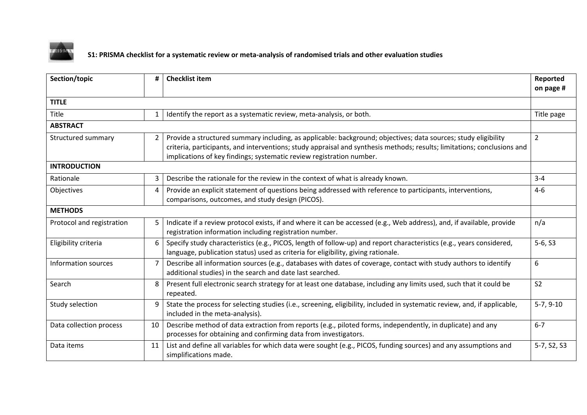

S1: PRISMA checklist for a systematic review or meta-analysis of randomised trials and other evaluation studies

| Section/topic             | #                                                                                                                                     | <b>Checklist item</b>                                                                                                                                                                                                                                                                                             |                |  |
|---------------------------|---------------------------------------------------------------------------------------------------------------------------------------|-------------------------------------------------------------------------------------------------------------------------------------------------------------------------------------------------------------------------------------------------------------------------------------------------------------------|----------------|--|
| <b>TITLE</b>              |                                                                                                                                       |                                                                                                                                                                                                                                                                                                                   |                |  |
| Title                     | $\mathbf{1}$                                                                                                                          | Identify the report as a systematic review, meta-analysis, or both.                                                                                                                                                                                                                                               | Title page     |  |
| <b>ABSTRACT</b>           |                                                                                                                                       |                                                                                                                                                                                                                                                                                                                   |                |  |
| Structured summary        | 2                                                                                                                                     | Provide a structured summary including, as applicable: background; objectives; data sources; study eligibility<br>criteria, participants, and interventions; study appraisal and synthesis methods; results; limitations; conclusions and<br>implications of key findings; systematic review registration number. |                |  |
| <b>INTRODUCTION</b>       |                                                                                                                                       |                                                                                                                                                                                                                                                                                                                   |                |  |
| Rationale                 | 3                                                                                                                                     | Describe the rationale for the review in the context of what is already known.                                                                                                                                                                                                                                    |                |  |
| Objectives                | 4                                                                                                                                     | Provide an explicit statement of questions being addressed with reference to participants, interventions,<br>comparisons, outcomes, and study design (PICOS).                                                                                                                                                     |                |  |
| <b>METHODS</b>            |                                                                                                                                       |                                                                                                                                                                                                                                                                                                                   |                |  |
| Protocol and registration | 5                                                                                                                                     | Indicate if a review protocol exists, if and where it can be accessed (e.g., Web address), and, if available, provide<br>registration information including registration number.                                                                                                                                  |                |  |
| Eligibility criteria      | 6                                                                                                                                     | Specify study characteristics (e.g., PICOS, length of follow-up) and report characteristics (e.g., years considered,<br>language, publication status) used as criteria for eligibility, giving rationale.                                                                                                         |                |  |
| Information sources       | 7                                                                                                                                     | Describe all information sources (e.g., databases with dates of coverage, contact with study authors to identify<br>additional studies) in the search and date last searched.                                                                                                                                     |                |  |
| Search                    | Present full electronic search strategy for at least one database, including any limits used, such that it could be<br>8<br>repeated. |                                                                                                                                                                                                                                                                                                                   | S <sub>2</sub> |  |
| Study selection           | 9                                                                                                                                     | State the process for selecting studies (i.e., screening, eligibility, included in systematic review, and, if applicable,<br>included in the meta-analysis).                                                                                                                                                      |                |  |
| Data collection process   | 10                                                                                                                                    | Describe method of data extraction from reports (e.g., piloted forms, independently, in duplicate) and any<br>processes for obtaining and confirming data from investigators.                                                                                                                                     |                |  |
| Data items                | 11                                                                                                                                    | List and define all variables for which data were sought (e.g., PICOS, funding sources) and any assumptions and<br>simplifications made.                                                                                                                                                                          |                |  |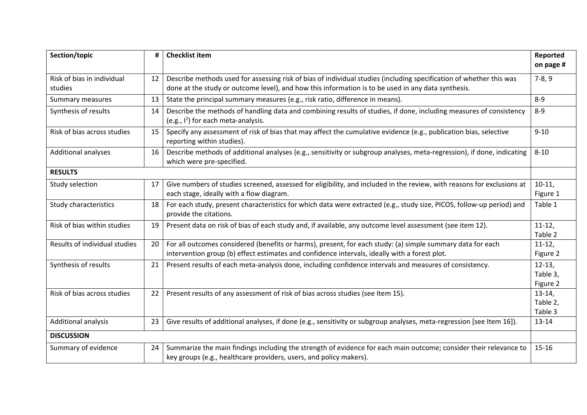| Section/topic                         |                                                                                                                                                                                               | <b>Checklist item</b>                                                                                                                                                                                                     |                                  |  |
|---------------------------------------|-----------------------------------------------------------------------------------------------------------------------------------------------------------------------------------------------|---------------------------------------------------------------------------------------------------------------------------------------------------------------------------------------------------------------------------|----------------------------------|--|
| Risk of bias in individual<br>studies | 12                                                                                                                                                                                            | Describe methods used for assessing risk of bias of individual studies (including specification of whether this was<br>done at the study or outcome level), and how this information is to be used in any data synthesis. |                                  |  |
| Summary measures                      | 13                                                                                                                                                                                            | State the principal summary measures (e.g., risk ratio, difference in means).                                                                                                                                             |                                  |  |
| Synthesis of results                  | 14                                                                                                                                                                                            | Describe the methods of handling data and combining results of studies, if done, including measures of consistency<br>(e.g., $I^2$ ) for each meta-analysis.                                                              |                                  |  |
| Risk of bias across studies           | 15                                                                                                                                                                                            | Specify any assessment of risk of bias that may affect the cumulative evidence (e.g., publication bias, selective<br>reporting within studies).                                                                           |                                  |  |
| Additional analyses                   | 16                                                                                                                                                                                            | Describe methods of additional analyses (e.g., sensitivity or subgroup analyses, meta-regression), if done, indicating<br>which were pre-specified.                                                                       |                                  |  |
| <b>RESULTS</b>                        |                                                                                                                                                                                               |                                                                                                                                                                                                                           |                                  |  |
| Study selection                       | 17                                                                                                                                                                                            | Give numbers of studies screened, assessed for eligibility, and included in the review, with reasons for exclusions at<br>each stage, ideally with a flow diagram.                                                        |                                  |  |
| Study characteristics                 | 18                                                                                                                                                                                            | For each study, present characteristics for which data were extracted (e.g., study size, PICOS, follow-up period) and<br>provide the citations.                                                                           |                                  |  |
| Risk of bias within studies           | 19                                                                                                                                                                                            | Present data on risk of bias of each study and, if available, any outcome level assessment (see item 12).                                                                                                                 |                                  |  |
| Results of individual studies         | 20                                                                                                                                                                                            | For all outcomes considered (benefits or harms), present, for each study: (a) simple summary data for each<br>intervention group (b) effect estimates and confidence intervals, ideally with a forest plot.               |                                  |  |
| Synthesis of results                  | 21<br>Present results of each meta-analysis done, including confidence intervals and measures of consistency.                                                                                 |                                                                                                                                                                                                                           | $12-13,$<br>Table 3,<br>Figure 2 |  |
| Risk of bias across studies           | Present results of any assessment of risk of bias across studies (see Item 15).<br>22                                                                                                         |                                                                                                                                                                                                                           | $13-14,$<br>Table 2,<br>Table 3  |  |
| Additional analysis                   | 23                                                                                                                                                                                            | Give results of additional analyses, if done (e.g., sensitivity or subgroup analyses, meta-regression [see Item 16]).                                                                                                     |                                  |  |
| <b>DISCUSSION</b>                     |                                                                                                                                                                                               |                                                                                                                                                                                                                           |                                  |  |
| Summary of evidence                   | Summarize the main findings including the strength of evidence for each main outcome; consider their relevance to<br>24<br>key groups (e.g., healthcare providers, users, and policy makers). |                                                                                                                                                                                                                           | $15 - 16$                        |  |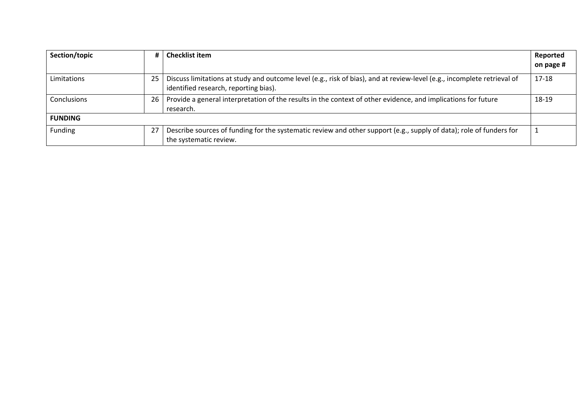| Section/topic  | #                                                                                                                                                   | <b>Checklist item</b>                                                                                                                                            | Reported<br>on page # |
|----------------|-----------------------------------------------------------------------------------------------------------------------------------------------------|------------------------------------------------------------------------------------------------------------------------------------------------------------------|-----------------------|
| Limitations    | 25                                                                                                                                                  | Discuss limitations at study and outcome level (e.g., risk of bias), and at review-level (e.g., incomplete retrieval of<br>identified research, reporting bias). |                       |
| Conclusions    | 26                                                                                                                                                  | Provide a general interpretation of the results in the context of other evidence, and implications for future<br>research.                                       |                       |
| <b>FUNDING</b> |                                                                                                                                                     |                                                                                                                                                                  |                       |
| Funding        | Describe sources of funding for the systematic review and other support (e.g., supply of data); role of funders for<br>27<br>the systematic review. |                                                                                                                                                                  |                       |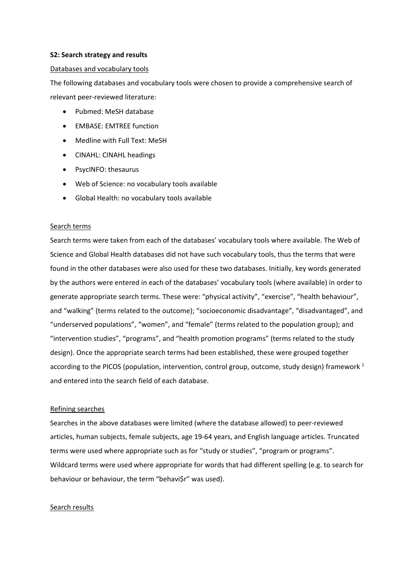#### **S2: Search strategy and results**

#### Databases and vocabulary tools

The following databases and vocabulary tools were chosen to provide a comprehensive search of relevant peer‐reviewed literature:

- Pubmed: MeSH database
- **•** EMBASE: EMTREE function
- Medline with Full Text: MeSH
- CINAHL: CINAHL headings
- PsycINFO: thesaurus
- Web of Science: no vocabulary tools available
- Global Health: no vocabulary tools available

### Search terms

Search terms were taken from each of the databases' vocabulary tools where available. The Web of Science and Global Health databases did not have such vocabulary tools, thus the terms that were found in the other databases were also used for these two databases. Initially, key words generated by the authors were entered in each of the databases' vocabulary tools (where available) in order to generate appropriate search terms. These were: "physical activity", "exercise", "health behaviour", and "walking" (terms related to the outcome); "socioeconomic disadvantage", "disadvantaged", and "underserved populations", "women", and "female" (terms related to the population group); and "intervention studies", "programs", and "health promotion programs" (terms related to the study design). Once the appropriate search terms had been established, these were grouped together according to the PICOS (population, intervention, control group, outcome, study design) framework  $^1$ and entered into the search field of each database.

### Refining searches

Searches in the above databases were limited (where the database allowed) to peer‐reviewed articles, human subjects, female subjects, age 19‐64 years, and English language articles. Truncated terms were used where appropriate such as for "study or studies", "program or programs". Wildcard terms were used where appropriate for words that had different spelling (e.g. to search for behaviour or behaviour, the term "behavi\$r" was used).

#### Search results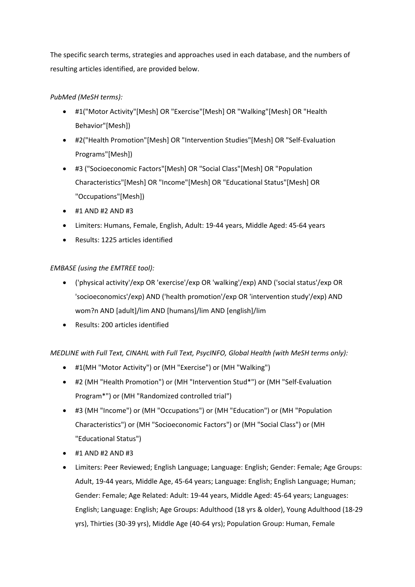The specific search terms, strategies and approaches used in each database, and the numbers of resulting articles identified, are provided below.

# *PubMed (MeSH terms):*

- #1("Motor Activity"[Mesh] OR "Exercise"[Mesh] OR "Walking"[Mesh] OR "Health Behavior"[Mesh])
- #2("Health Promotion"[Mesh] OR "Intervention Studies"[Mesh] OR "Self‐Evaluation Programs"[Mesh])
- #3 ("Socioeconomic Factors"[Mesh] OR "Social Class"[Mesh] OR "Population Characteristics"[Mesh] OR "Income"[Mesh] OR "Educational Status"[Mesh] OR "Occupations"[Mesh])
- $\bullet$  #1 AND #2 AND #3
- Limiters: Humans, Female, English, Adult: 19‐44 years, Middle Aged: 45‐64 years
- Results: 1225 articles identified

# *EMBASE (using the EMTREE tool):*

- ('physical activity'/exp OR 'exercise'/exp OR 'walking'/exp) AND ('social status'/exp OR 'socioeconomics'/exp) AND ('health promotion'/exp OR 'intervention study'/exp) AND wom?n AND [adult]/lim AND [humans]/lim AND [english]/lim
- Results: 200 articles identified

*MEDLINE with Full Text, CINAHL with Full Text, PsycINFO, Global Health (with MeSH terms only):*

- #1(MH "Motor Activity") or (MH "Exercise") or (MH "Walking")
- #2 (MH "Health Promotion") or (MH "Intervention Stud\*") or (MH "Self‐Evaluation Program\*") or (MH "Randomized controlled trial")
- #3 (MH "Income") or (MH "Occupations") or (MH "Education") or (MH "Population Characteristics") or (MH "Socioeconomic Factors") or (MH "Social Class") or (MH "Educational Status")
- $\bullet$  #1 AND #2 AND #3
- Limiters: Peer Reviewed; English Language; Language: English; Gender: Female; Age Groups: Adult, 19‐44 years, Middle Age, 45‐64 years; Language: English; English Language; Human; Gender: Female; Age Related: Adult: 19‐44 years, Middle Aged: 45‐64 years; Languages: English; Language: English; Age Groups: Adulthood (18 yrs & older), Young Adulthood (18‐29 yrs), Thirties (30‐39 yrs), Middle Age (40‐64 yrs); Population Group: Human, Female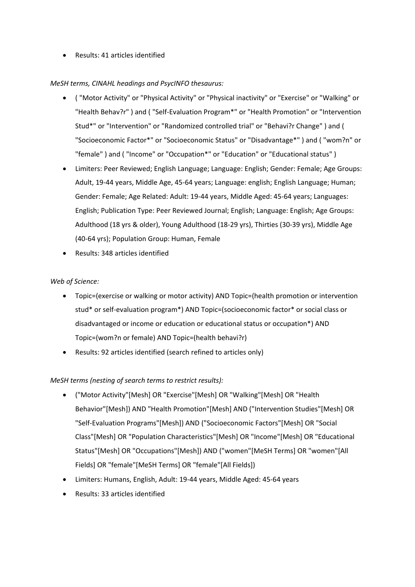Results: 41 articles identified

## *MeSH terms, CINAHL headings and PsycINFO thesaurus:*

- ( "Motor Activity" or "Physical Activity" or "Physical inactivity" or "Exercise" or "Walking" or "Health Behav?r" ) and ( "Self‐Evaluation Program\*" or "Health Promotion" or "Intervention Stud\*" or "Intervention" or "Randomized controlled trial" or "Behavi?r Change" ) and ( "Socioeconomic Factor\*" or "Socioeconomic Status" or "Disadvantage\*" ) and ( "wom?n" or "female" ) and ( "Income" or "Occupation\*" or "Education" or "Educational status" )
- Limiters: Peer Reviewed; English Language; Language: English; Gender: Female; Age Groups: Adult, 19‐44 years, Middle Age, 45‐64 years; Language: english; English Language; Human; Gender: Female; Age Related: Adult: 19‐44 years, Middle Aged: 45‐64 years; Languages: English; Publication Type: Peer Reviewed Journal; English; Language: English; Age Groups: Adulthood (18 yrs & older), Young Adulthood (18‐29 yrs), Thirties (30‐39 yrs), Middle Age (40‐64 yrs); Population Group: Human, Female
- Results: 348 articles identified

## *Web of Science:*

- Topic=(exercise or walking or motor activity) AND Topic=(health promotion or intervention stud\* or self‐evaluation program\*) AND Topic=(socioeconomic factor\* or social class or disadvantaged or income or education or educational status or occupation\*) AND Topic=(wom?n or female) AND Topic=(health behavi?r)
- Results: 92 articles identified (search refined to articles only)

# *MeSH terms (nesting of search terms to restrict results):*

- ("Motor Activity"[Mesh] OR "Exercise"[Mesh] OR "Walking"[Mesh] OR "Health Behavior"[Mesh]) AND "Health Promotion"[Mesh] AND ("Intervention Studies"[Mesh] OR "Self‐Evaluation Programs"[Mesh]) AND ("Socioeconomic Factors"[Mesh] OR "Social Class"[Mesh] OR "Population Characteristics"[Mesh] OR "Income"[Mesh] OR "Educational Status"[Mesh] OR "Occupations"[Mesh]) AND ("women"[MeSH Terms] OR "women"[All Fields] OR "female"[MeSH Terms] OR "female"[All Fields])
- Limiters: Humans, English, Adult: 19‐44 years, Middle Aged: 45‐64 years
- Results: 33 articles identified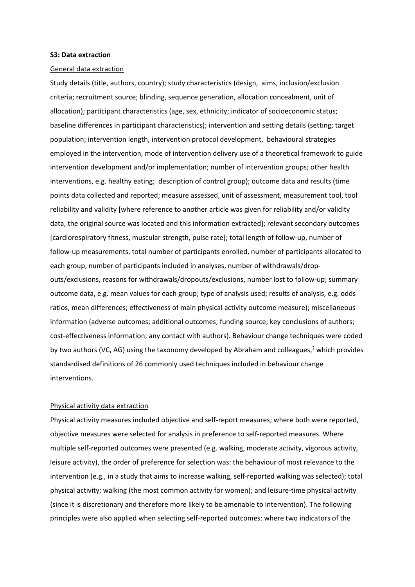#### **S3: Data extraction**

#### General data extraction

Study details (title, authors, country); study characteristics (design, aims, inclusion/exclusion criteria; recruitment source; blinding, sequence generation, allocation concealment, unit of allocation); participant characteristics (age, sex, ethnicity; indicator of socioeconomic status; baseline differences in participant characteristics); intervention and setting details (setting; target population; intervention length, intervention protocol development, behavioural strategies employed in the intervention, mode of intervention delivery use of a theoretical framework to guide intervention development and/or implementation; number of intervention groups; other health interventions, e.g. healthy eating; description of control group); outcome data and results (time points data collected and reported; measure assessed, unit of assessment, measurement tool, tool reliability and validity [where reference to another article was given for reliability and/or validity data, the original source was located and this information extracted]; relevant secondary outcomes [cardiorespiratory fitness, muscular strength, pulse rate]; total length of follow‐up, number of follow‐up measurements, total number of participants enrolled, number of participants allocated to each group, number of participants included in analyses, number of withdrawals/dropouts/exclusions, reasons for withdrawals/dropouts/exclusions, number lost to follow‐up; summary outcome data, e.g. mean values for each group; type of analysis used; results of analysis, e.g. odds ratios, mean differences; effectiveness of main physical activity outcome measure); miscellaneous information (adverse outcomes; additional outcomes; funding source; key conclusions of authors; cost-effectiveness information; any contact with authors). Behaviour change techniques were coded by two authors (VC, AG) using the taxonomy developed by Abraham and colleagues,<sup>2</sup> which provides standardised definitions of 26 commonly used techniques included in behaviour change interventions.

#### Physical activity data extraction

Physical activity measures included objective and self-report measures; where both were reported, objective measures were selected for analysis in preference to self‐reported measures. Where multiple self‐reported outcomes were presented (e.g. walking, moderate activity, vigorous activity, leisure activity), the order of preference for selection was: the behaviour of most relevance to the intervention (e.g., in a study that aims to increase walking, self-reported walking was selected); total physical activity; walking (the most common activity for women); and leisure‐time physical activity (since it is discretionary and therefore more likely to be amenable to intervention). The following principles were also applied when selecting self‐reported outcomes: where two indicators of the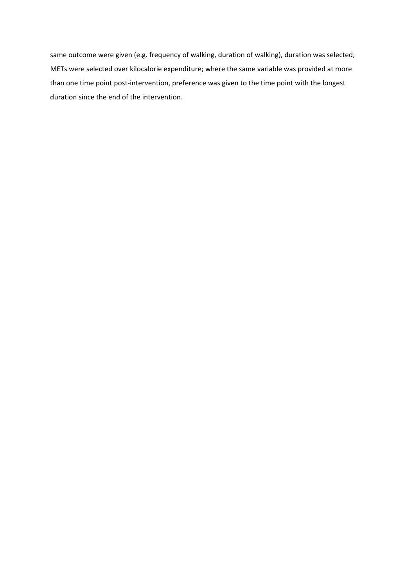same outcome were given (e.g. frequency of walking, duration of walking), duration was selected; METs were selected over kilocalorie expenditure; where the same variable was provided at more than one time point post‐intervention, preference was given to the time point with the longest duration since the end of the intervention.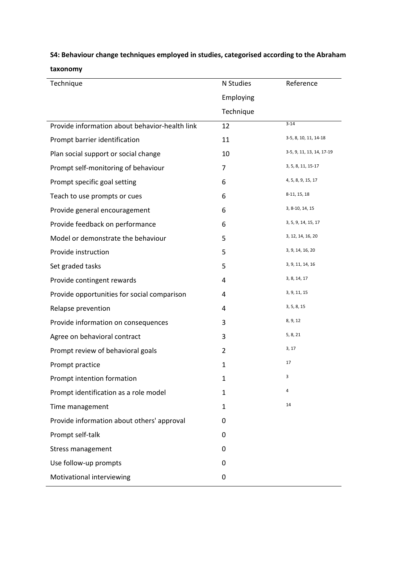# **S4: Behaviour change techniques employed in studies, categorised according to the Abraham**

| taxonomy |
|----------|
|----------|

| Technique                                      | N Studies      | Reference                 |
|------------------------------------------------|----------------|---------------------------|
|                                                | Employing      |                           |
|                                                | Technique      |                           |
| Provide information about behavior-health link | 12             | $3 - 14$                  |
| Prompt barrier identification                  | 11             | 3-5, 8, 10, 11, 14-18     |
| Plan social support or social change           | 10             | 3-5, 9, 11, 13, 14, 17-19 |
| Prompt self-monitoring of behaviour            | 7              | 3, 5, 8, 11, 15-17        |
| Prompt specific goal setting                   | 6              | 4, 5, 8, 9, 15, 17        |
| Teach to use prompts or cues                   | 6              | 8-11, 15, 18              |
| Provide general encouragement                  | 6              | 3, 8-10, 14, 15           |
| Provide feedback on performance                | 6              | 3, 5, 9, 14, 15, 17       |
| Model or demonstrate the behaviour             | 5              | 3, 12, 14, 16, 20         |
| Provide instruction                            | 5              | 3, 9, 14, 16, 20          |
| Set graded tasks                               | 5              | 3, 9, 11, 14, 16          |
| Provide contingent rewards                     | 4              | 3, 8, 14, 17              |
| Provide opportunities for social comparison    | 4              | 3, 9, 11, 15              |
| Relapse prevention                             | 4              | 3, 5, 8, 15               |
| Provide information on consequences            | 3              | 8, 9, 12                  |
| Agree on behavioral contract                   | 3              | 5, 8, 21                  |
| Prompt review of behavioral goals              | $\overline{2}$ | 3, 17                     |
| Prompt practice                                | $\mathbf{1}$   | 17                        |
| Prompt intention formation                     | 1              | 3                         |
| Prompt identification as a role model          | 1              | 4                         |
| Time management                                | $\mathbf{1}$   | 14                        |
| Provide information about others' approval     | 0              |                           |
| Prompt self-talk                               | 0              |                           |
| Stress management                              | 0              |                           |
| Use follow-up prompts                          | 0              |                           |
| Motivational interviewing                      | $\mathbf 0$    |                           |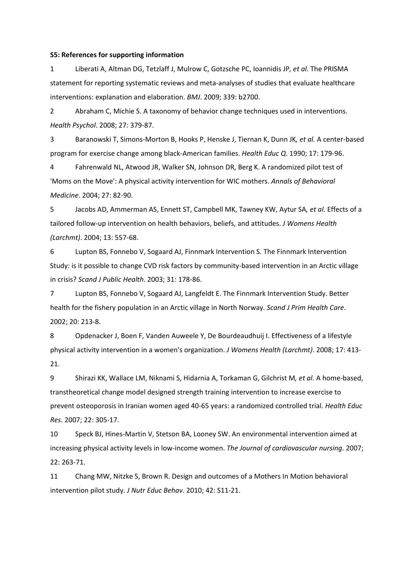#### **S5: References for supporting information**

1 Liberati A, Altman DG, Tetzlaff J, Mulrow C, Gotzsche PC, Ioannidis JP*, et al.* The PRISMA statement for reporting systematic reviews and meta‐analyses of studies that evaluate healthcare interventions: explanation and elaboration. *BMJ*. 2009; 339: b2700.

2 Abraham C, Michie S. A taxonomy of behavior change techniques used in interventions. *Health Psychol*. 2008; 27: 379‐87.

3 Baranowski T, Simons‐Morton B, Hooks P, Henske J, Tiernan K, Dunn JK*, et al.* A center‐based program for exercise change among black‐American families. *Health Educ Q*. 1990; 17: 179‐96.

4 Fahrenwald NL, Atwood JR, Walker SN, Johnson DR, Berg K. A randomized pilot test of 'Moms on the Move': A physical activity intervention for WIC mothers. *Annals of Behavioral Medicine*. 2004; 27: 82‐90.

5 Jacobs AD, Ammerman AS, Ennett ST, Campbell MK, Tawney KW, Aytur SA*, et al.* Effects of a tailored follow‐up intervention on health behaviors, beliefs, and attitudes. *J Womens Health (Larchmt)*. 2004; 13: 557‐68.

6 Lupton BS, Fonnebo V, Sogaard AJ, Finnmark Intervention S. The Finnmark Intervention Study: is it possible to change CVD risk factors by community‐based intervention in an Arctic village in crisis? *Scand J Public Health*. 2003; 31: 178‐86.

7 Lupton BS, Fonnebo V, Sogaard AJ, Langfeldt E. The Finnmark Intervention Study. Better health for the fishery population in an Arctic village in North Norway. *Scand J Prim Health Care*. 2002; 20: 213‐8.

8 Opdenacker J, Boen F, Vanden Auweele Y, De Bourdeaudhuij I. Effectiveness of a lifestyle physical activity intervention in a women's organization. *J Womens Health (Larchmt)*. 2008; 17: 413‐ 21.

9 Shirazi KK, Wallace LM, Niknami S, Hidarnia A, Torkaman G, Gilchrist M*, et al.* A home‐based, transtheoretical change model designed strength training intervention to increase exercise to prevent osteoporosis in Iranian women aged 40‐65 years: a randomized controlled trial. *Health Educ Res*. 2007; 22: 305‐17.

10 Speck BJ, Hines‐Martin V, Stetson BA, Looney SW. An environmental intervention aimed at increasing physical activity levels in low‐income women. *The Journal of cardiovascular nursing*. 2007; 22: 263‐71.

11 Chang MW, Nitzke S, Brown R. Design and outcomes of a Mothers In Motion behavioral intervention pilot study. *J Nutr Educ Behav*. 2010; 42: S11‐21.